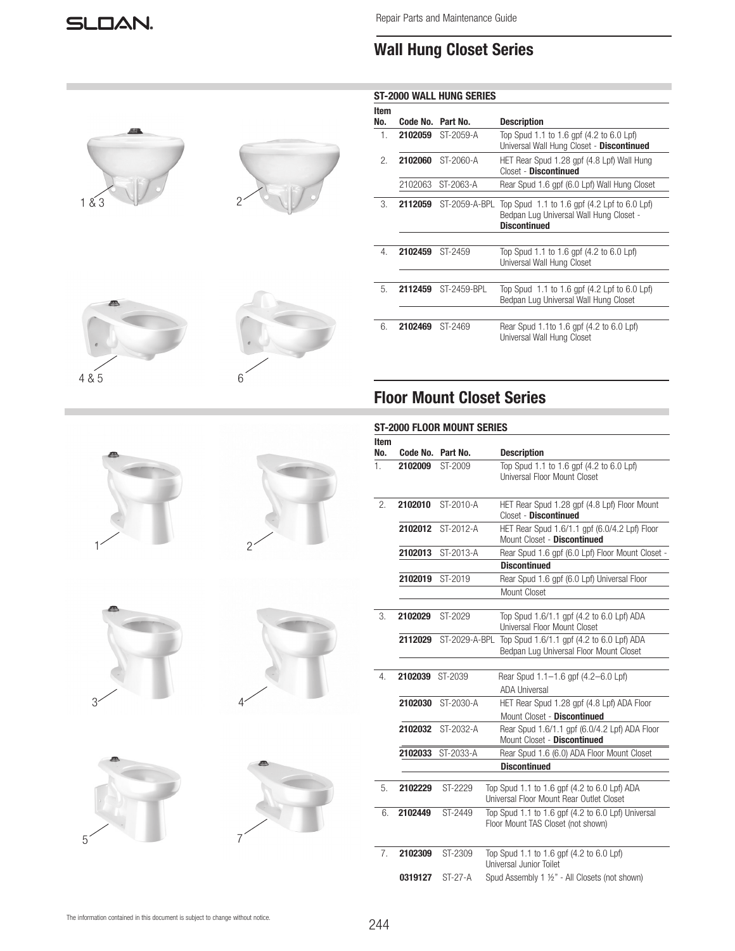# **Wall Hung Closet Series**

|       |   |             |                   | <b>ST-2000 WALL HUNG SERIES</b> |                                                                                                                |
|-------|---|-------------|-------------------|---------------------------------|----------------------------------------------------------------------------------------------------------------|
|       |   | Item<br>No. | Code No. Part No. |                                 | <b>Description</b>                                                                                             |
|       |   | 1.          |                   | 2102059 ST-2059-A               | Top Spud 1.1 to 1.6 gpf (4.2 to 6.0 Lpf)<br>Universal Wall Hung Closet - Discontinued                          |
|       |   | 2.          |                   | 2102060 ST-2060-A               | HET Rear Spud 1.28 gpf (4.8 Lpf) Wall Hung<br>Closet - Discontinued                                            |
|       |   |             |                   | 2102063 ST-2063-A               | Rear Spud 1.6 gpf (6.0 Lpf) Wall Hung Closet                                                                   |
| 1&3   |   | 3.          |                   | 2112059 ST-2059-A-BPL           | Top Spud 1.1 to 1.6 gpf (4.2 Lpf to 6.0 Lpf)<br>Bedpan Luq Universal Wall Hung Closet -<br><b>Discontinued</b> |
|       |   | 4.          | 2102459 ST-2459   |                                 | Top Spud 1.1 to 1.6 gpf (4.2 to 6.0 Lpf)<br>Universal Wall Hung Closet                                         |
|       |   | 5.          |                   | 2112459 ST-2459-BPL             | Top Spud 1.1 to 1.6 gpf (4.2 Lpf to 6.0 Lpf)<br>Bedpan Lug Universal Wall Hung Closet                          |
|       |   | 6.          | 2102469 ST-2469   |                                 | Rear Spud 1.1to 1.6 gpf (4.2 to 6.0 Lpf)<br>Universal Wall Hung Closet                                         |
| 4 & 5 | 6 |             |                   |                                 | <b>Floor Mount Closet Series</b>                                                                               |
|       |   |             |                   | ST-2000 FLOOR MOUNT SERIES      |                                                                                                                |
|       |   | Item        |                   |                                 |                                                                                                                |
|       |   | No.         |                   | Code No. Part No.               | <b>Description</b>                                                                                             |
|       |   | 1.          | 2102009           | ST-2009                         | Top Spud 1.1 to 1.6 gpf (4.2 to 6.0 Lpf)<br>Universal Floor Mount Closet                                       |
|       |   | 2.          | 2102010           | ST-2010-A                       | HET Rear Spud 1.28 gpf (4.8 Lpf) Floor Mount<br>Closet - Discontinued                                          |
|       |   |             |                   | 2102012 ST-2012-A               | HET Rear Spud 1.6/1.1 gpf (6.0/4.2 Lpf) Floor<br>Mount Closet - Discontinued                                   |
|       |   |             |                   | 2102013 ST-2013-A               | Rear Spud 1.6 gpf (6.0 Lpf) Floor Mount Closet -<br><b>Discontinued</b>                                        |
|       |   |             | 2102019 ST-2019   |                                 | Rear Spud 1.6 gpf (6.0 Lpf) Universal Floor<br>Mount Closet                                                    |
|       |   | 3.          | 2102029 ST-2029   |                                 | Top Spud 1.6/1.1 gpf (4.2 to 6.0 Lpf) ADA<br>Universal Floor Mount Closet                                      |
|       |   |             |                   |                                 | 2112029 ST-2029-A-BPL Top Spud 1.6/1.1 gpf (4.2 to 6.0 Lpf) ADA<br>Bedpan Lug Universal Floor Mount Closet     |
|       |   | 4.          | 2102039 ST-2039   |                                 | Rear Spud 1.1-1.6 gpf (4.2-6.0 Lpf)<br><b>ADA Universal</b>                                                    |
|       |   |             |                   | 2102030 ST-2030-A               | HET Rear Spud 1.28 gpf (4.8 Lpf) ADA Floor<br>Mount Closet - Discontinued                                      |
|       |   |             |                   | 2102032 ST-2032-A               | Rear Spud 1.6/1.1 gpf (6.0/4.2 Lpf) ADA Floor<br>Mount Closet - Discontinued                                   |
|       |   |             |                   | 2102033 ST-2033-A               | Rear Spud 1.6 (6.0) ADA Floor Mount Closet<br><b>Discontinued</b>                                              |
|       |   |             |                   |                                 |                                                                                                                |
|       |   | 5.          | 2102229           | ST-2229                         | Top Spud 1.1 to 1.6 gpf (4.2 to 6.0 Lpf) ADA<br>Universal Floor Mount Rear Outlet Closet                       |
|       |   | 6.          | 2102449           | ST-2449                         | Top Spud 1.1 to 1.6 gpf (4.2 to 6.0 Lpf) Universal<br>Floor Mount TAS Closet (not shown)                       |
|       |   | 7.          | 2102309           | ST-2309                         | Top Spud 1.1 to 1.6 gpf (4.2 to 6.0 Lpf)<br>Universal Junior Toilet                                            |
|       |   |             | 0319127           | $ST-27-A$                       | Spud Assembly 1 1/2" - All Closets (not shown)                                                                 |

The information contained in this document is subject to change without notice.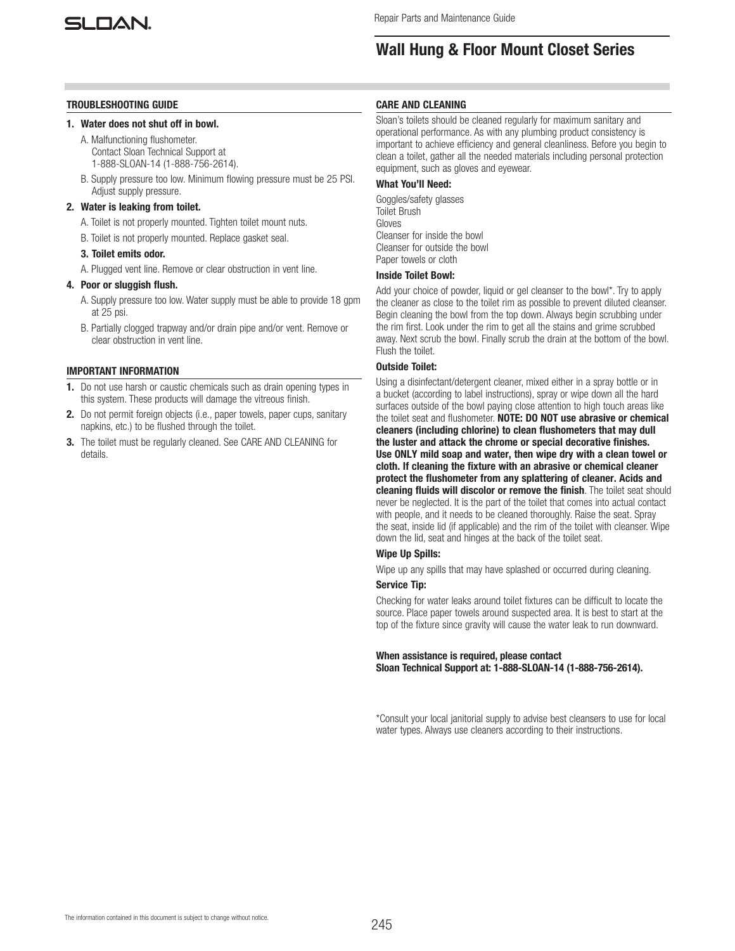

# **Wall Hung & Floor Mount Closet Series**

### **TROUBLESHOOTING GUIDE**

### **1. Water does not shut off in bowl.**

- A. Malfunctioning flushometer. Contact Sloan Technical Support at 1-888-SLOAN-14 (1-888-756-2614).
- B. Supply pressure too low. Minimum flowing pressure must be 25 PSI. Adjust supply pressure.

### **2. Water is leaking from toilet.**

- A. Toilet is not properly mounted. Tighten toilet mount nuts.
- B. Toilet is not properly mounted. Replace gasket seal.

### **3. Toilet emits odor.**

A. Plugged vent line. Remove or clear obstruction in vent line.

## **4. Poor or sluggish flush.**

- A. Supply pressure too low. Water supply must be able to provide 18 gpm at 25 psi.
- B. Partially clogged trapway and/or drain pipe and/or vent. Remove or clear obstruction in vent line.

### **IMPORTANT INFORMATION**

- **1.** Do not use harsh or caustic chemicals such as drain opening types in this system. These products will damage the vitreous finish.
- **2.** Do not permit foreign objects (i.e., paper towels, paper cups, sanitary napkins, etc.) to be flushed through the toilet.
- **3.** The toilet must be regularly cleaned. See CARE AND CLEANING for details.

## **CARE AND CLEANING**

Sloan's toilets should be cleaned regularly for maximum sanitary and operational performance. As with any plumbing product consistency is important to achieve efficiency and general cleanliness. Before you begin to clean a toilet, gather all the needed materials including personal protection equipment, such as gloves and eyewear.

# **What You'll Need:**

Goggles/safety glasses Toilet Brush Gloves Cleanser for inside the bowl Cleanser for outside the bowl Paper towels or cloth

## **Inside Toilet Bowl:**

Add your choice of powder, liquid or gel cleanser to the bowl\*. Try to apply the cleaner as close to the toilet rim as possible to prevent diluted cleanser. Begin cleaning the bowl from the top down. Always begin scrubbing under the rim first. Look under the rim to get all the stains and grime scrubbed away. Next scrub the bowl. Finally scrub the drain at the bottom of the bowl. Flush the toilet.

## **Outside Toilet:**

Using a disinfectant/detergent cleaner, mixed either in a spray bottle or in a bucket (according to label instructions), spray or wipe down all the hard surfaces outside of the bowl paying close attention to high touch areas like the toilet seat and flushometer. **NOTE: DO NOT use abrasive or chemical cleaners (including chlorine) to clean flushometers that may dull the luster and attack the chrome or special decorative finishes. Use ONLY mild soap and water, then wipe dry with a clean towel or cloth. If cleaning the fixture with an abrasive or chemical cleaner protect the flushometer from any splattering of cleaner. Acids and cleaning fluids will discolor or remove the finish**. The toilet seat should never be neglected. It is the part of the toilet that comes into actual contact with people, and it needs to be cleaned thoroughly. Raise the seat. Spray the seat, inside lid (if applicable) and the rim of the toilet with cleanser. Wipe down the lid, seat and hinges at the back of the toilet seat.

# **Wipe Up Spills:**

Wipe up any spills that may have splashed or occurred during cleaning.

# **Service Tip:**

Checking for water leaks around toilet fixtures can be difficult to locate the source. Place paper towels around suspected area. It is best to start at the top of the fixture since gravity will cause the water leak to run downward.

**When assistance is required, please contact Sloan Technical Support at: 1-888-SLOAN-14 (1-888-756-2614).**

\*Consult your local janitorial supply to advise best cleansers to use for local water types. Always use cleaners according to their instructions.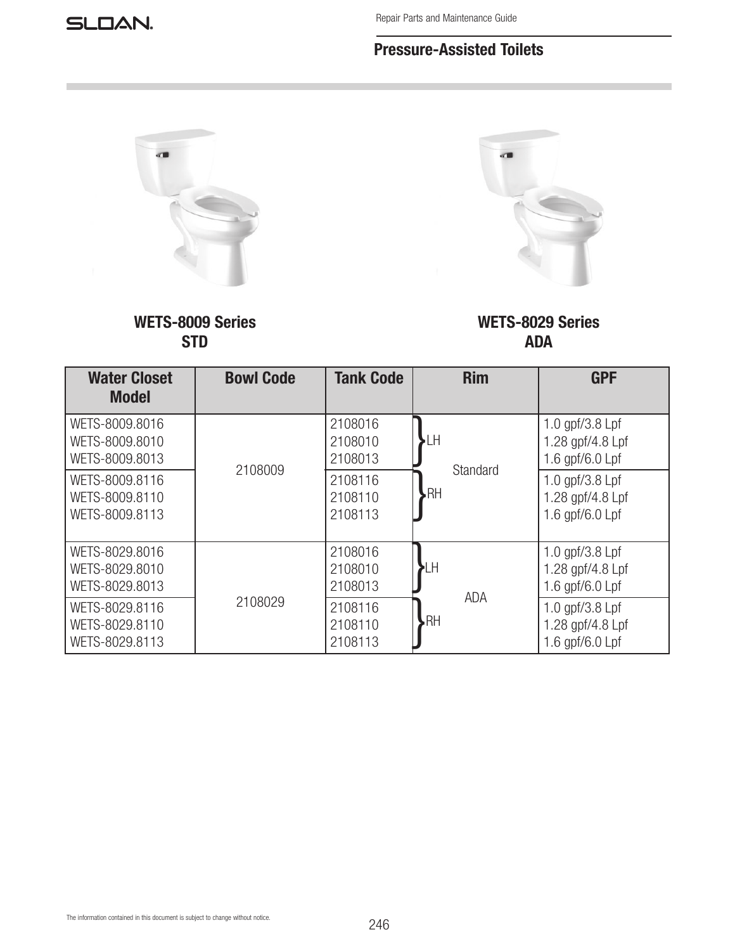# **Pressure-Assisted Toilets**



**WETS-8009 Series STD**



**WETS-8029 Series ADA**

| <b>Water Closet</b><br><b>Model</b>                | <b>Bowl Code</b> | <b>Tank Code</b>              | <b>Rim</b>            | <b>GPF</b>                                                  |
|----------------------------------------------------|------------------|-------------------------------|-----------------------|-------------------------------------------------------------|
| WETS-8009.8016<br>WETS-8009.8010<br>WETS-8009.8013 |                  | 2108016<br>2108010<br>2108013 | ٠LH                   | 1.0 gpf/ $3.8$ Lpf<br>1.28 gpf/4.8 Lpf<br>1.6 gpf/6.0 Lpf   |
| WETS-8009.8116<br>WETS-8009.8110<br>WETS-8009.8113 | 2108009          | 2108116<br>2108110<br>2108113 | Standard<br><b>RH</b> | 1.0 gpf/ $3.8$ Lpf<br>1.28 gpf/4.8 Lpf<br>1.6 gpf/6.0 Lpf   |
| WETS-8029.8016<br>WETS-8029.8010<br>WETS-8029.8013 |                  | 2108016<br>2108010<br>2108013 | ιH<br><b>ADA</b>      | 1.0 gpf/ $3.8$ Lpf<br>1.28 gpf/4.8 Lpf<br>1.6 gpf/6.0 $Lpf$ |
| WETS-8029.8116<br>WETS-8029.8110<br>WETS-8029.8113 | 2108029          | 2108116<br>2108110<br>2108113 | <b>RH</b>             | 1.0 gpf/3.8 Lpf<br>1.28 gpf/4.8 Lpf<br>1.6 $qpf/6.0$ Lpf    |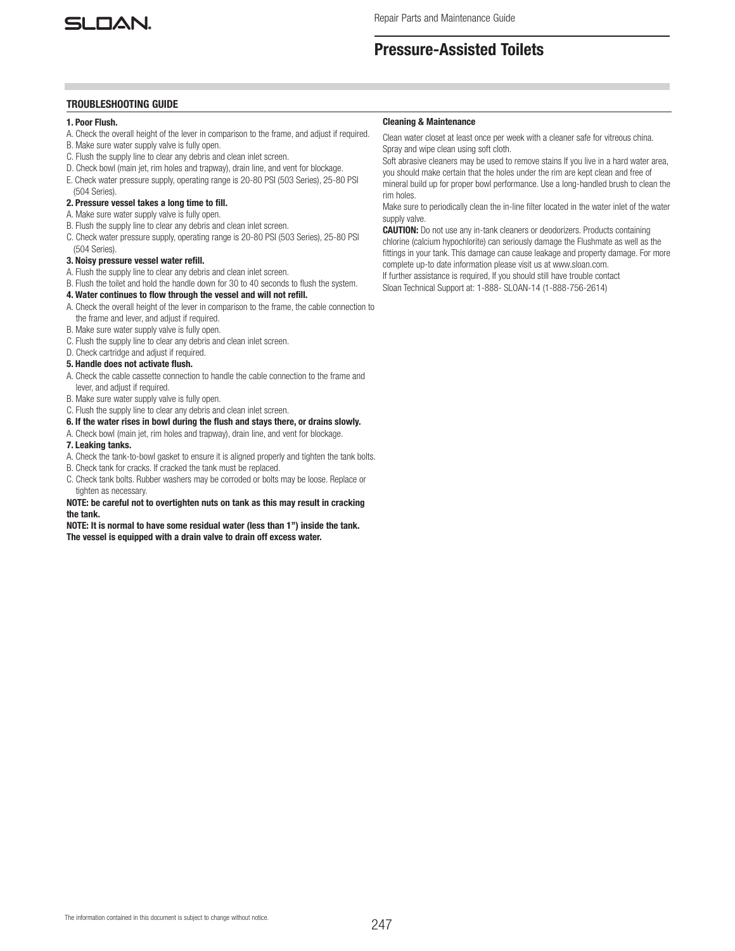

# **Pressure-Assisted Toilets**

### **TROUBLESHOOTING GUIDE**

## **1. Poor Flush.**

- A. Check the overall height of the lever in comparison to the frame, and adjust if required.
- B. Make sure water supply valve is fully open.
- C. Flush the supply line to clear any debris and clean inlet screen.
- D. Check bowl (main jet, rim holes and trapway), drain line, and vent for blockage.
- E. Check water pressure supply, operating range is 20-80 PSI (503 Series), 25-80 PSI (504 Series).

## **2. Pressure vessel takes a long time to fill.**

- A. Make sure water supply valve is fully open.
- B. Flush the supply line to clear any debris and clean inlet screen.
- C. Check water pressure supply, operating range is 20-80 PSI (503 Series), 25-80 PSI (504 Series).

### **3. Noisy pressure vessel water refill.**

- A. Flush the supply line to clear any debris and clean inlet screen.
- B. Flush the toilet and hold the handle down for 30 to 40 seconds to flush the system.

### **4. Water continues to flow through the vessel and will not refill.**

- A. Check the overall height of the lever in comparison to the frame, the cable connection to
- the frame and lever, and adjust if required.
- B. Make sure water supply valve is fully open.
- C. Flush the supply line to clear any debris and clean inlet screen.
- D. Check cartridge and adjust if required.

# **5. Handle does not activate flush.**

- A. Check the cable cassette connection to handle the cable connection to the frame and lever, and adjust if required.
- B. Make sure water supply valve is fully open.
- C. Flush the supply line to clear any debris and clean inlet screen.

### **6. If the water rises in bowl during the flush and stays there, or drains slowly.**

A. Check bowl (main jet, rim holes and trapway), drain line, and vent for blockage.

#### **7. Leaking tanks.**

- A. Check the tank-to-bowl gasket to ensure it is aligned properly and tighten the tank bolts.
- B. Check tank for cracks. If cracked the tank must be replaced.
- C. Check tank bolts. Rubber washers may be corroded or bolts may be loose. Replace or tighten as necessary.

### **NOTE: be careful not to overtighten nuts on tank as this may result in cracking the tank.**

**NOTE: It is normal to have some residual water (less than 1") inside the tank. The vessel is equipped with a drain valve to drain off excess water.**

#### **Cleaning & Maintenance**

Clean water closet at least once per week with a cleaner safe for vitreous china. Spray and wipe clean using soft cloth.

Soft abrasive cleaners may be used to remove stains If you live in a hard water area, you should make certain that the holes under the rim are kept clean and free of mineral build up for proper bowl performance. Use a long-handled brush to clean the rim holes.

Make sure to periodically clean the in-line filter located in the water inlet of the water supply valve.

**CAUTION:** Do not use any in-tank cleaners or deodorizers. Products containing chlorine (calcium hypochlorite) can seriously damage the Flushmate as well as the fittings in your tank. This damage can cause leakage and property damage. For more complete up-to date information please visit us at www.sloan.com. If further assistance is required, If you should still have trouble contact

Sloan Technical Support at: 1-888- SLOAN-14 (1-888-756-2614)